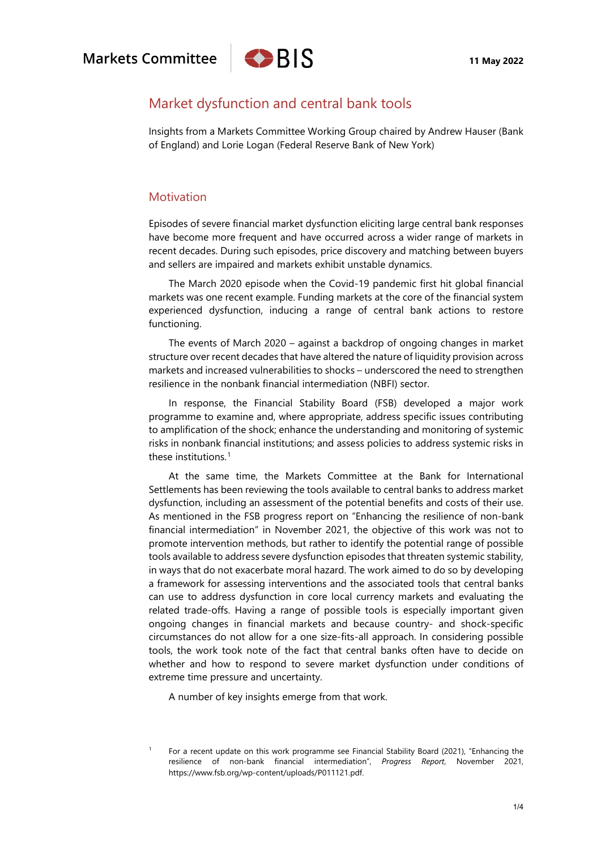

# Market dysfunction and central bank tools

Insights from a Markets Committee Working Group chaired by Andrew Hauser (Bank of England) and Lorie Logan (Federal Reserve Bank of New York)

## Motivation

Episodes of severe financial market dysfunction eliciting large central bank responses have become more frequent and have occurred across a wider range of markets in recent decades. During such episodes, price discovery and matching between buyers and sellers are impaired and markets exhibit unstable dynamics.

The March 2020 episode when the Covid-19 pandemic first hit global financial markets was one recent example. Funding markets at the core of the financial system experienced dysfunction, inducing a range of central bank actions to restore functioning.

The events of March 2020 – against a backdrop of ongoing changes in market structure over recent decades that have altered the nature of liquidity provision across markets and increased vulnerabilities to shocks – underscored the need to strengthen resilience in the nonbank financial intermediation (NBFI) sector.

In response, the Financial Stability Board (FSB) developed a major work programme to examine and, where appropriate, address specific issues contributing to amplification of the shock; enhance the understanding and monitoring of systemic risks in nonbank financial institutions; and assess policies to address systemic risks in these institutions. [1](#page-0-0)

At the same time, the Markets Committee at the Bank for International Settlements has been reviewing the tools available to central banks to address market dysfunction, including an assessment of the potential benefits and costs of their use. As mentioned in the FSB progress report on "Enhancing the resilience of non-bank financial intermediation" in November 2021, the objective of this work was not to promote intervention methods, but rather to identify the potential range of possible tools available to address severe dysfunction episodes that threaten systemic stability, in ways that do not exacerbate moral hazard. The work aimed to do so by developing a framework for assessing interventions and the associated tools that central banks can use to address dysfunction in core local currency markets and evaluating the related trade-offs. Having a range of possible tools is especially important given ongoing changes in financial markets and because country- and shock-specific circumstances do not allow for a one size-fits-all approach. In considering possible tools, the work took note of the fact that central banks often have to decide on whether and how to respond to severe market dysfunction under conditions of extreme time pressure and uncertainty.

A number of key insights emerge from that work.

<span id="page-0-0"></span><sup>&</sup>lt;sup>1</sup> For a recent update on this work programme see Financial Stability Board (2021), "Enhancing the resilience of non-bank financial intermediation", *Progress Report*, November 2021, [https://www.fsb.org/wp-content/uploads/P011121.pdf.](https://www.fsb.org/wp-content/uploads/P011121.pdf)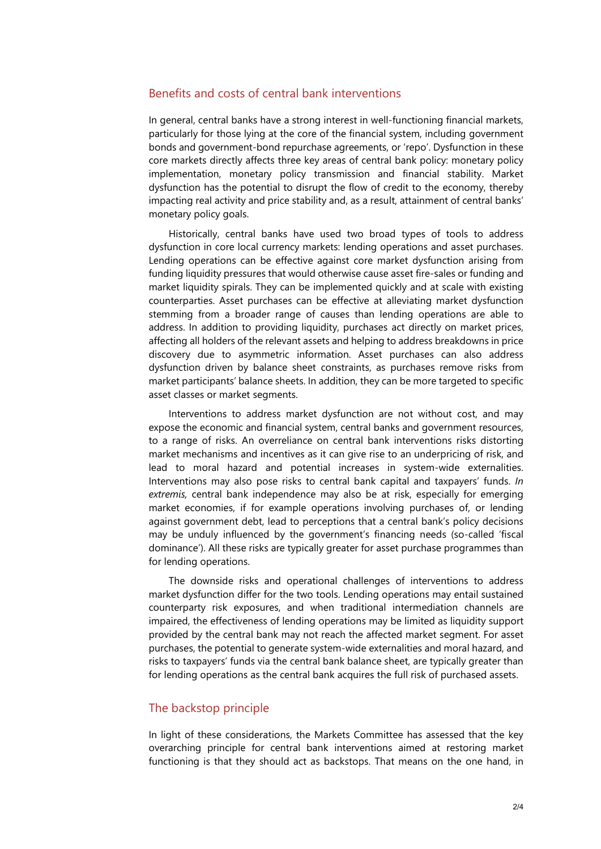## Benefits and costs of central bank interventions

In general, central banks have a strong interest in well-functioning financial markets, particularly for those lying at the core of the financial system, including government bonds and government-bond repurchase agreements, or 'repo'. Dysfunction in these core markets directly affects three key areas of central bank policy: monetary policy implementation, monetary policy transmission and financial stability. Market dysfunction has the potential to disrupt the flow of credit to the economy, thereby impacting real activity and price stability and, as a result, attainment of central banks' monetary policy goals.

Historically, central banks have used two broad types of tools to address dysfunction in core local currency markets: lending operations and asset purchases. Lending operations can be effective against core market dysfunction arising from funding liquidity pressures that would otherwise cause asset fire-sales or funding and market liquidity spirals. They can be implemented quickly and at scale with existing counterparties. Asset purchases can be effective at alleviating market dysfunction stemming from a broader range of causes than lending operations are able to address. In addition to providing liquidity, purchases act directly on market prices, affecting all holders of the relevant assets and helping to address breakdowns in price discovery due to asymmetric information. Asset purchases can also address dysfunction driven by balance sheet constraints, as purchases remove risks from market participants' balance sheets. In addition, they can be more targeted to specific asset classes or market segments.

Interventions to address market dysfunction are not without cost, and may expose the economic and financial system, central banks and government resources, to a range of risks. An overreliance on central bank interventions risks distorting market mechanisms and incentives as it can give rise to an underpricing of risk, and lead to moral hazard and potential increases in system-wide externalities. Interventions may also pose risks to central bank capital and taxpayers' funds. *In extremis,* central bank independence may also be at risk, especially for emerging market economies, if for example operations involving purchases of, or lending against government debt, lead to perceptions that a central bank's policy decisions may be unduly influenced by the government's financing needs (so-called 'fiscal dominance'). All these risks are typically greater for asset purchase programmes than for lending operations.

The downside risks and operational challenges of interventions to address market dysfunction differ for the two tools. Lending operations may entail sustained counterparty risk exposures, and when traditional intermediation channels are impaired, the effectiveness of lending operations may be limited as liquidity support provided by the central bank may not reach the affected market segment. For asset purchases, the potential to generate system-wide externalities and moral hazard, and risks to taxpayers' funds via the central bank balance sheet, are typically greater than for lending operations as the central bank acquires the full risk of purchased assets.

### The backstop principle

In light of these considerations, the Markets Committee has assessed that the key overarching principle for central bank interventions aimed at restoring market functioning is that they should act as backstops. That means on the one hand, in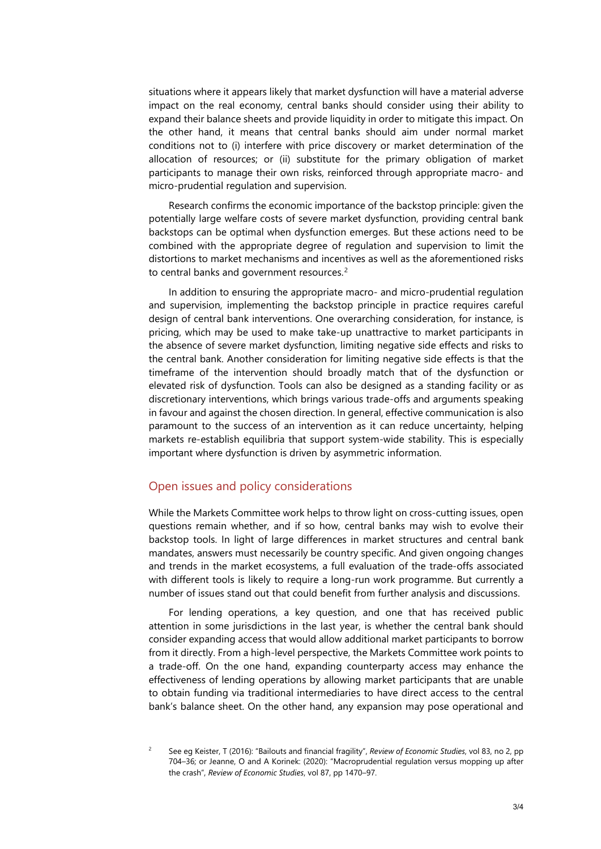situations where it appears likely that market dysfunction will have a material adverse impact on the real economy, central banks should consider using their ability to expand their balance sheets and provide liquidity in order to mitigate this impact. On the other hand, it means that central banks should aim under normal market conditions not to (i) interfere with price discovery or market determination of the allocation of resources; or (ii) substitute for the primary obligation of market participants to manage their own risks, reinforced through appropriate macro- and micro-prudential regulation and supervision.

Research confirms the economic importance of the backstop principle: given the potentially large welfare costs of severe market dysfunction, providing central bank backstops can be optimal when dysfunction emerges. But these actions need to be combined with the appropriate degree of regulation and supervision to limit the distortions to market mechanisms and incentives as well as the aforementioned risks to central banks and government resources.<sup>[2](#page-2-0)</sup>

In addition to ensuring the appropriate macro- and micro-prudential regulation and supervision, implementing the backstop principle in practice requires careful design of central bank interventions. One overarching consideration, for instance, is pricing, which may be used to make take-up unattractive to market participants in the absence of severe market dysfunction, limiting negative side effects and risks to the central bank. Another consideration for limiting negative side effects is that the timeframe of the intervention should broadly match that of the dysfunction or elevated risk of dysfunction. Tools can also be designed as a standing facility or as discretionary interventions, which brings various trade-offs and arguments speaking in favour and against the chosen direction. In general, effective communication is also paramount to the success of an intervention as it can reduce uncertainty, helping markets re-establish equilibria that support system-wide stability. This is especially important where dysfunction is driven by asymmetric information.

### Open issues and policy considerations

While the Markets Committee work helps to throw light on cross-cutting issues, open questions remain whether, and if so how, central banks may wish to evolve their backstop tools. In light of large differences in market structures and central bank mandates, answers must necessarily be country specific. And given ongoing changes and trends in the market ecosystems, a full evaluation of the trade-offs associated with different tools is likely to require a long-run work programme. But currently a number of issues stand out that could benefit from further analysis and discussions.

For lending operations, a key question, and one that has received public attention in some jurisdictions in the last year, is whether the central bank should consider expanding access that would allow additional market participants to borrow from it directly. From a high-level perspective, the Markets Committee work points to a trade-off. On the one hand, expanding counterparty access may enhance the effectiveness of lending operations by allowing market participants that are unable to obtain funding via traditional intermediaries to have direct access to the central bank's balance sheet. On the other hand, any expansion may pose operational and

<span id="page-2-0"></span><sup>2</sup> See eg Keister, T (2016): "Bailouts and financial fragility", *Review of Economic Studies*, vol 83, no 2, pp 704–36; or Jeanne, O and A Korinek: (2020): "Macroprudential regulation versus mopping up after the crash", *Review of Economic Studies*, vol 87, pp 1470–97.